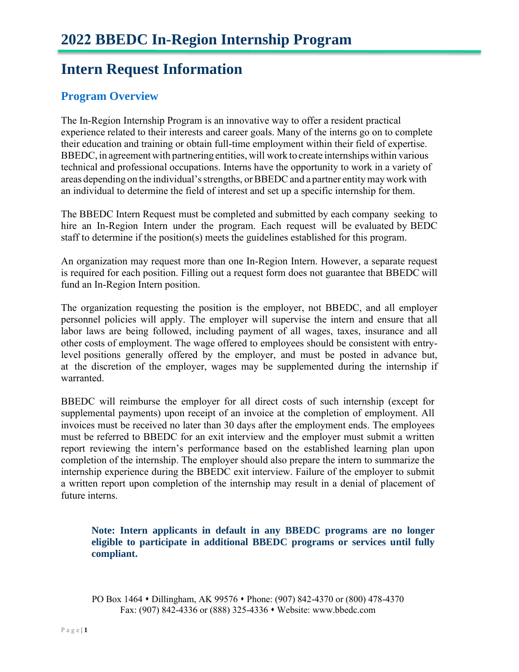### **Intern Request Information**

### **Program Overview**

The In-Region Internship Program is an innovative way to offer a resident practical experience related to their interests and career goals. Many of the interns go on to complete their education and training or obtain full-time employment within their field of expertise. BBEDC, in agreement with partnering entities, will work to create internships within various technical and professional occupations. Interns have the opportunity to work in a variety of areas depending on the individual'sstrengths, or BBEDC and a partner entity may work with an individual to determine the field of interest and set up a specific internship for them.

The BBEDC Intern Request must be completed and submitted by each company seeking to hire an In-Region Intern under the program. Each request will be evaluated by BEDC staff to determine if the position(s) meets the guidelines established for this program.

An organization may request more than one In-Region Intern. However, a separate request is required for each position. Filling out a request form does not guarantee that BBEDC will fund an In-Region Intern position.

The organization requesting the position is the employer, not BBEDC, and all employer personnel policies will apply. The employer will supervise the intern and ensure that all labor laws are being followed, including payment of all wages, taxes, insurance and all other costs of employment. The wage offered to employees should be consistent with entrylevel positions generally offered by the employer, and must be posted in advance but, at the discretion of the employer, wages may be supplemented during the internship if warranted.

BBEDC will reimburse the employer for all direct costs of such internship (except for supplemental payments) upon receipt of an invoice at the completion of employment. All invoices must be received no later than 30 days after the employment ends. The employees must be referred to BBEDC for an exit interview and the employer must submit a written report reviewing the intern's performance based on the established learning plan upon completion of the internship. The employer should also prepare the intern to summarize the internship experience during the BBEDC exit interview. Failure of the employer to submit a written report upon completion of the internship may result in a denial of placement of future interns.

**Note: Intern applicants in default in any BBEDC programs are no longer eligible to participate in additional BBEDC programs or services until fully compliant.**

PO Box 1464 • Dillingham, AK 99576 • Phone: (907) 842-4370 or (800) 478-4370 Fax: (907) 842-4336 or (888) 325-4336 ⬧ Website: www.bbedc.com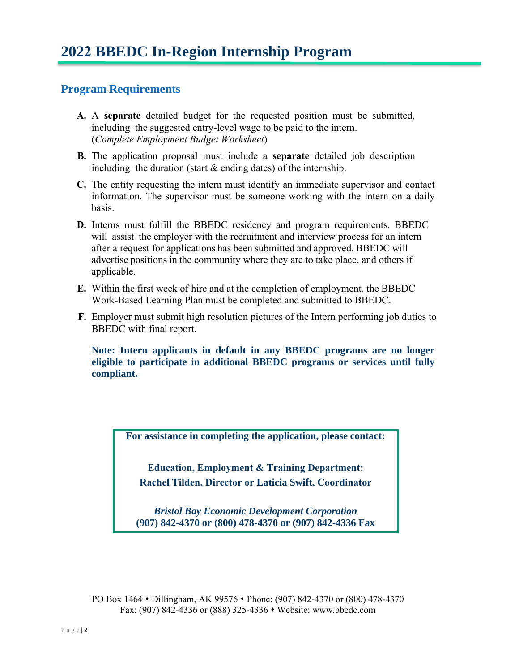#### **Program Requirements**

- **A.** A **separate** detailed budget for the requested position must be submitted, including the suggested entry-level wage to be paid to the intern. (*Complete Employment Budget Worksheet*)
- **B.** The application proposal must include a **separate** detailed job description including the duration (start  $&$  ending dates) of the internship.
- **C.** The entity requesting the intern must identify an immediate supervisor and contact information. The supervisor must be someone working with the intern on a daily basis.
- **D.** Interns must fulfill the BBEDC residency and program requirements. BBEDC will assist the employer with the recruitment and interview process for an intern after a request for applications has been submitted and approved. BBEDC will advertise positions in the community where they are to take place, and others if applicable.
- **E.** Within the first week of hire and at the completion of employment, the BBEDC Work-Based Learning Plan must be completed and submitted to BBEDC.
- **F.** Employer must submit high resolution pictures of the Intern performing job duties to BBEDC with final report.

**Note: Intern applicants in default in any BBEDC programs are no longer eligible to participate in additional BBEDC programs or services until fully compliant.**

**For assistance in completing the application, please contact:**

**Education, Employment & Training Department: Rachel Tilden, Director or Laticia Swift, Coordinator**

*Bristol Bay Economic Development Corporation*  **(907) 842-4370 or (800) 478-4370 or (907) 842-4336 Fax**

PO Box 1464 • Dillingham, AK 99576 • Phone: (907) 842-4370 or (800) 478-4370 Fax: (907) 842-4336 or (888) 325-4336 ⬧ Website: www.bbedc.com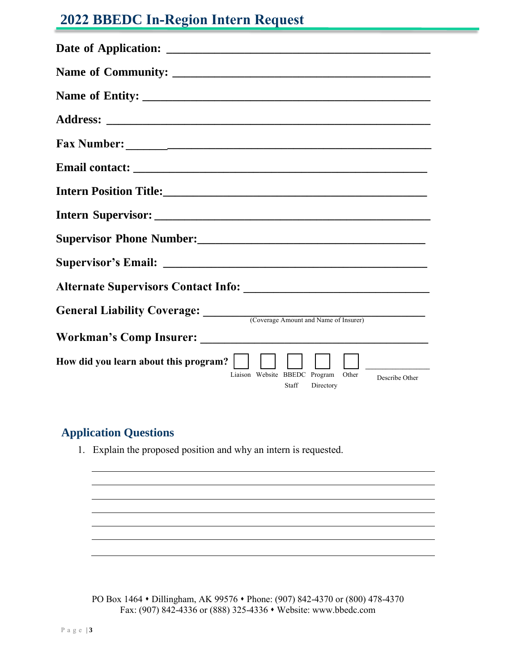## **2022 BBEDC In-Region Intern Request**

| General Liability Coverage: Coverage Amount and Name of Insurer)                               |
|------------------------------------------------------------------------------------------------|
|                                                                                                |
| How did you learn about this program?<br>Liaison Website BBEDC Program Other<br>Describe Other |
| Staff<br>Directory                                                                             |

#### **Application Questions**

1. Explain the proposed position and why an intern is requested.

PO Box 1464 • Dillingham, AK 99576 • Phone: (907) 842-4370 or (800) 478-4370 Fax: (907) 842-4336 or (888) 325-4336 ⬧ Website: www.bbedc.com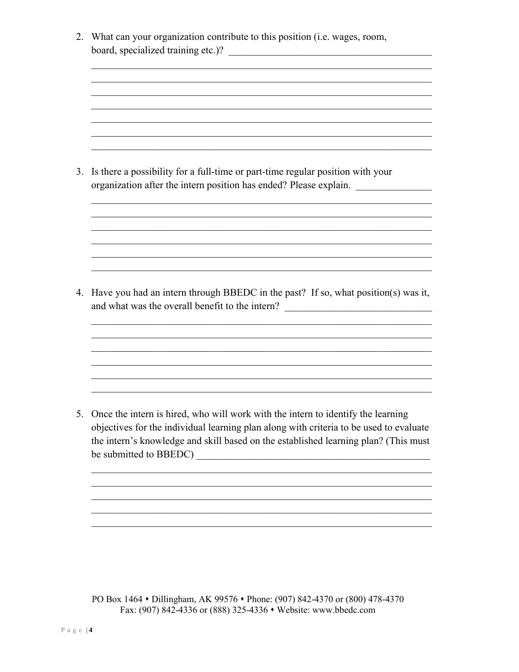2. What can your organization contribute to this position (i.e. wages, room, 

3. Is there a possibility for a full-time or part-time regular position with your organization after the intern position has ended? Please explain.

4. Have you had an intern through BBEDC in the past? If so, what position(s) was it, and what was the overall benefit to the intern? \_\_\_\_\_\_\_\_\_\_\_\_\_\_\_\_\_\_\_\_\_\_\_\_\_\_\_\_\_\_\_\_\_

5. Once the intern is hired, who will work with the intern to identify the learning objectives for the individual learning plan along with criteria to be used to evaluate the intern's knowledge and skill based on the established learning plan? (This must be submitted to BBEDC)

PO Box 1464 • Dillingham, AK 99576 • Phone: (907) 842-4370 or (800) 478-4370 Fax: (907) 842-4336 or (888) 325-4336 • Website: www.bbedc.com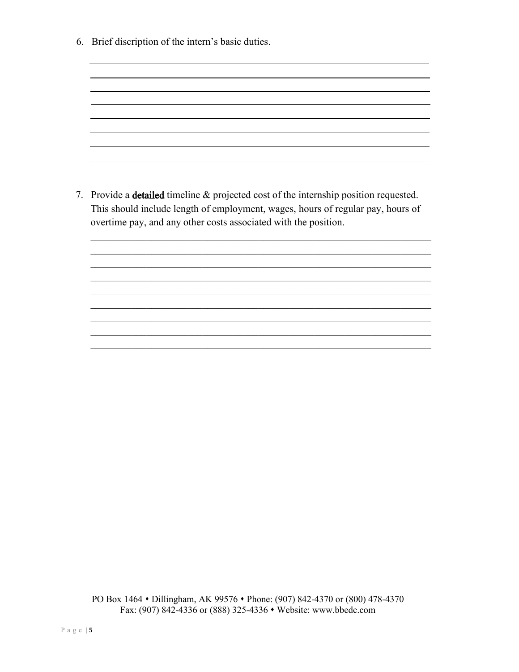6. Brief discription of the intern's basic duties.

7. Provide a detailed timeline & projected cost of the internship position requested. This should include length of employment, wages, hours of regular pay, hours of overtime pay, and any other costs associated with the position.

 $\mathcal{L}_\mathcal{L}$  , and the contribution of the contribution of the contribution of the contribution of the contribution of the contribution of the contribution of the contribution of the contribution of the contribution of  $\mathcal{L}_\mathcal{L}$  , and the contribution of the contribution of the contribution of the contribution of the contribution of the contribution of the contribution of the contribution of the contribution of the contribution of  $\mathcal{L}_\mathcal{L} = \mathcal{L}_\mathcal{L} = \mathcal{L}_\mathcal{L} = \mathcal{L}_\mathcal{L} = \mathcal{L}_\mathcal{L} = \mathcal{L}_\mathcal{L} = \mathcal{L}_\mathcal{L} = \mathcal{L}_\mathcal{L} = \mathcal{L}_\mathcal{L} = \mathcal{L}_\mathcal{L} = \mathcal{L}_\mathcal{L} = \mathcal{L}_\mathcal{L} = \mathcal{L}_\mathcal{L} = \mathcal{L}_\mathcal{L} = \mathcal{L}_\mathcal{L} = \mathcal{L}_\mathcal{L} = \mathcal{L}_\mathcal{L}$  $\mathcal{L}_\mathcal{L}$  , and the contribution of the contribution of the contribution of the contribution of the contribution of the contribution of the contribution of the contribution of the contribution of the contribution of

 $\mathcal{L}_\mathcal{L}$  , and the contribution of the contribution of the contribution of the contribution of the contribution of the contribution of the contribution of the contribution of the contribution of the contribution of  $\mathcal{L}_\mathcal{L}$  , and the contribution of the contribution of the contribution of the contribution of the contribution of the contribution of the contribution of the contribution of the contribution of the contribution of